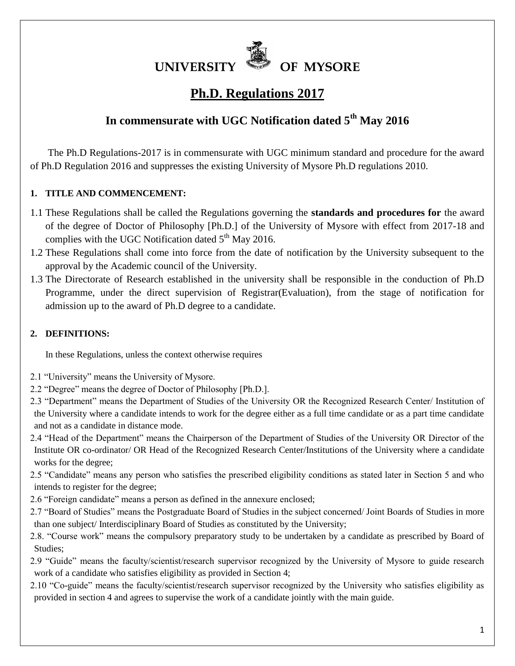

# **Ph.D. Regulations 2017**

## **In commensurate with UGC Notification dated 5th May 2016**

 The Ph.D Regulations-2017 is in commensurate with UGC minimum standard and procedure for the award of Ph.D Regulation 2016 and suppresses the existing University of Mysore Ph.D regulations 2010.

### **1. TITLE AND COMMENCEMENT:**

- 1.1 These Regulations shall be called the Regulations governing the **standards and procedures for** the award of the degree of Doctor of Philosophy [Ph.D.] of the University of Mysore with effect from 2017-18 and complies with the UGC Notification dated  $5<sup>th</sup>$  May 2016.
- 1.2 These Regulations shall come into force from the date of notification by the University subsequent to the approval by the Academic council of the University.
- 1.3 The Directorate of Research established in the university shall be responsible in the conduction of Ph.D Programme, under the direct supervision of Registrar(Evaluation), from the stage of notification for admission up to the award of Ph.D degree to a candidate.

### **2. DEFINITIONS:**

In these Regulations, unless the context otherwise requires

- 2.1 "University" means the University of Mysore.
- 2.2 "Degree" means the degree of Doctor of Philosophy [Ph.D.].
- 2.3 "Department" means the Department of Studies of the University OR the Recognized Research Center/ Institution of the University where a candidate intends to work for the degree either as a full time candidate or as a part time candidate and not as a candidate in distance mode.
- 2.4 "Head of the Department" means the Chairperson of the Department of Studies of the University OR Director of the Institute OR co-ordinator/ OR Head of the Recognized Research Center/Institutions of the University where a candidate works for the degree;
- 2.5 "Candidate" means any person who satisfies the prescribed eligibility conditions as stated later in Section 5 and who intends to register for the degree;
- 2.6 "Foreign candidate" means a person as defined in the annexure enclosed;
- 2.7 "Board of Studies" means the Postgraduate Board of Studies in the subject concerned/ Joint Boards of Studies in more than one subject/ Interdisciplinary Board of Studies as constituted by the University;
- 2.8. "Course work" means the compulsory preparatory study to be undertaken by a candidate as prescribed by Board of Studies;
- 2.9 "Guide" means the faculty/scientist/research supervisor recognized by the University of Mysore to guide research work of a candidate who satisfies eligibility as provided in Section 4;
- 2.10 "Co-guide" means the faculty/scientist/research supervisor recognized by the University who satisfies eligibility as provided in section 4 and agrees to supervise the work of a candidate jointly with the main guide.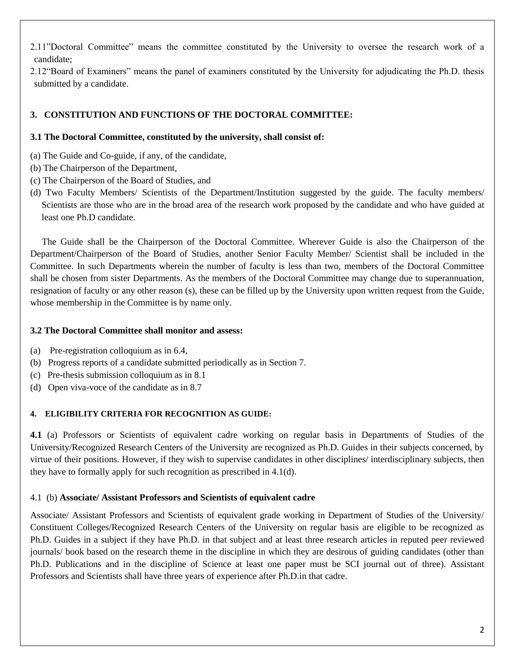2.11"Doctoral Committee" means the committee constituted by the University to oversee the research work of a candidate;

2.12"Board of Examiners" means the panel of examiners constituted by the University for adjudicating the Ph.D. thesis submitted by a candidate.

### **3. CONSTITUTION AND FUNCTIONS OF THE DOCTORAL COMMITTEE:**

### **3.1 The Doctoral Committee, constituted by the university, shall consist of:**

- (a) The Guide and Co-guide, if any, of the candidate,
- (b) The Chairperson of the Department,
- (c) The Chairperson of the Board of Studies, and
- (d) Two Faculty Members/ Scientists of the Department/Institution suggested by the guide. The faculty members/ Scientists are those who are in the broad area of the research work proposed by the candidate and who have guided at least one Ph.D candidate.

 The Guide shall be the Chairperson of the Doctoral Committee. Wherever Guide is also the Chairperson of the Department/Chairperson of the Board of Studies, another Senior Faculty Member/ Scientist shall be included in the Committee. In such Departments wherein the number of faculty is less than two, members of the Doctoral Committee shall be chosen from sister Departments. As the members of the Doctoral Committee may change due to superannuation, resignation of faculty or any other reason (s), these can be filled up by the University upon written request from the Guide, whose membership in the Committee is by name only.

### **3.2 The Doctoral Committee shall monitor and assess:**

- (a) Pre-registration colloquium as in 6.4,
- (b) Progress reports of a candidate submitted periodically as in Section 7.
- (c) Pre-thesis submission colloquium as in 8.1
- (d) Open viva-voce of the candidate as in 8.7

#### **4. ELIGIBILITY CRITERIA FOR RECOGNITION AS GUIDE:**

**4.1** (a) Professors or Scientists of equivalent cadre working on regular basis in Departments of Studies of the University/Recognized Research Centers of the University are recognized as Ph.D. Guides in their subjects concerned, by virtue of their positions. However, if they wish to supervise candidates in other disciplines/ interdisciplinary subjects, then they have to formally apply for such recognition as prescribed in 4.1(d).

#### 4.1 (b) **Associate/ Assistant Professors and Scientists of equivalent cadre**

Associate/ Assistant Professors and Scientists of equivalent grade working in Department of Studies of the University/ Constituent Colleges/Recognized Research Centers of the University on regular basis are eligible to be recognized as Ph.D. Guides in a subject if they have Ph.D. in that subject and at least three research articles in reputed peer reviewed journals/ book based on the research theme in the discipline in which they are desirous of guiding candidates (other than Ph.D. Publications and in the discipline of Science at least one paper must be SCI journal out of three). Assistant Professors and Scientists shall have three years of experience after Ph.D.in that cadre.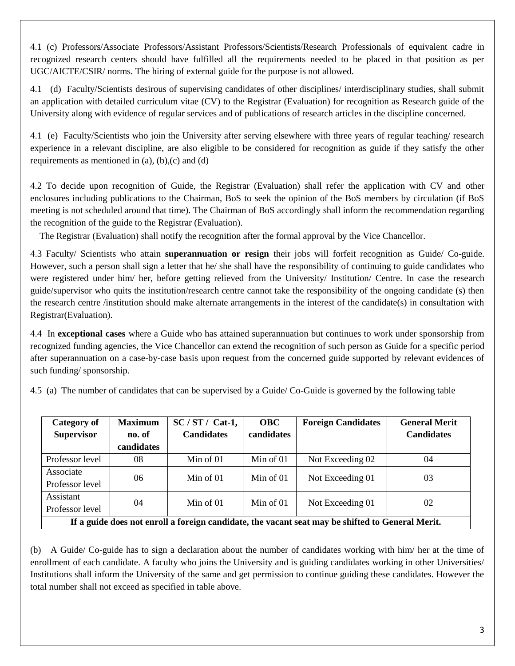4.1 (c) Professors/Associate Professors/Assistant Professors/Scientists/Research Professionals of equivalent cadre in recognized research centers should have fulfilled all the requirements needed to be placed in that position as per UGC/AICTE/CSIR/ norms. The hiring of external guide for the purpose is not allowed.

4.1 (d) Faculty/Scientists desirous of supervising candidates of other disciplines/ interdisciplinary studies, shall submit an application with detailed curriculum vitae (CV) to the Registrar (Evaluation) for recognition as Research guide of the University along with evidence of regular services and of publications of research articles in the discipline concerned.

4.1 (e) Faculty/Scientists who join the University after serving elsewhere with three years of regular teaching/ research experience in a relevant discipline, are also eligible to be considered for recognition as guide if they satisfy the other requirements as mentioned in  $(a)$ ,  $(b)$ , $(c)$  and  $(d)$ 

4.2 To decide upon recognition of Guide, the Registrar (Evaluation) shall refer the application with CV and other enclosures including publications to the Chairman, BoS to seek the opinion of the BoS members by circulation (if BoS meeting is not scheduled around that time). The Chairman of BoS accordingly shall inform the recommendation regarding the recognition of the guide to the Registrar (Evaluation).

The Registrar (Evaluation) shall notify the recognition after the formal approval by the Vice Chancellor.

4.3 Faculty/ Scientists who attain **superannuation or resign** their jobs will forfeit recognition as Guide/ Co-guide. However, such a person shall sign a letter that he/ she shall have the responsibility of continuing to guide candidates who were registered under him/ her, before getting relieved from the University/ Institution/ Centre. In case the research guide/supervisor who quits the institution/research centre cannot take the responsibility of the ongoing candidate (s) then the research centre /institution should make alternate arrangements in the interest of the candidate(s) in consultation with Registrar(Evaluation).

4.4 In **exceptional cases** where a Guide who has attained superannuation but continues to work under sponsorship from recognized funding agencies, the Vice Chancellor can extend the recognition of such person as Guide for a specific period after superannuation on a case-by-case basis upon request from the concerned guide supported by relevant evidences of such funding/ sponsorship.

4.5 (a) The number of candidates that can be supervised by a Guide/ Co-Guide is governed by the following table

| <b>Category of</b><br><b>Supervisor</b>                                                          | <b>Maximum</b><br>no. of | $SC/ST/Cat-1$ ,<br><b>Candidates</b> | <b>OBC</b><br>candidates | <b>Foreign Candidates</b> | <b>General Merit</b><br><b>Candidates</b> |  |  |  |  |
|--------------------------------------------------------------------------------------------------|--------------------------|--------------------------------------|--------------------------|---------------------------|-------------------------------------------|--|--|--|--|
|                                                                                                  | candidates               |                                      |                          |                           |                                           |  |  |  |  |
| Professor level                                                                                  | 08                       | Min of $01$                          | Min of $01$              | Not Exceeding 02          | 04                                        |  |  |  |  |
| Associate<br>Professor level                                                                     | 06                       | Min of $01$                          | Min of $01$              | Not Exceeding 01          | 03                                        |  |  |  |  |
| Assistant<br>Professor level                                                                     | 04                       | Min of $01$                          | Min of $01$              | Not Exceeding 01          | 02                                        |  |  |  |  |
| If a guide does not enroll a foreign candidate, the vacant seat may be shifted to General Merit. |                          |                                      |                          |                           |                                           |  |  |  |  |

(b) A Guide/ Co-guide has to sign a declaration about the number of candidates working with him/ her at the time of enrollment of each candidate. A faculty who joins the University and is guiding candidates working in other Universities/ Institutions shall inform the University of the same and get permission to continue guiding these candidates. However the total number shall not exceed as specified in table above.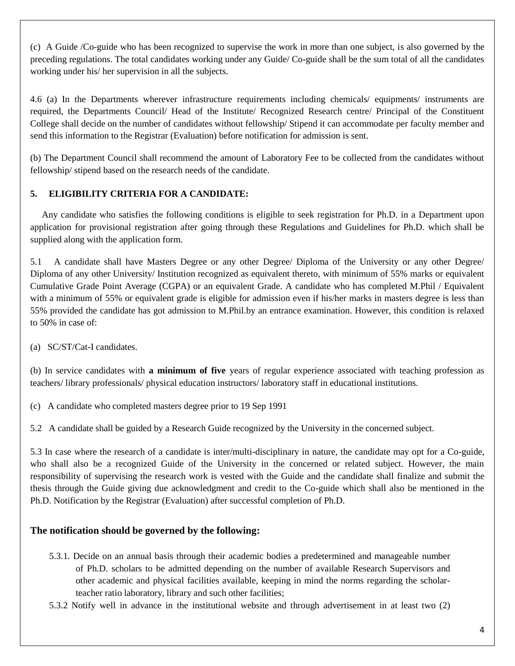(c) A Guide /Co-guide who has been recognized to supervise the work in more than one subject, is also governed by the preceding regulations. The total candidates working under any Guide/ Co-guide shall be the sum total of all the candidates working under his/ her supervision in all the subjects.

4.6 (a) In the Departments wherever infrastructure requirements including chemicals/ equipments/ instruments are required, the Departments Council/ Head of the Institute/ Recognized Research centre/ Principal of the Constituent College shall decide on the number of candidates without fellowship/ Stipend it can accommodate per faculty member and send this information to the Registrar (Evaluation) before notification for admission is sent.

(b) The Department Council shall recommend the amount of Laboratory Fee to be collected from the candidates without fellowship/ stipend based on the research needs of the candidate.

### **5. ELIGIBILITY CRITERIA FOR A CANDIDATE:**

 Any candidate who satisfies the following conditions is eligible to seek registration for Ph.D. in a Department upon application for provisional registration after going through these Regulations and Guidelines for Ph.D. which shall be supplied along with the application form.

5.1 A candidate shall have Masters Degree or any other Degree/ Diploma of the University or any other Degree/ Diploma of any other University/ Institution recognized as equivalent thereto, with minimum of 55% marks or equivalent Cumulative Grade Point Average (CGPA) or an equivalent Grade. A candidate who has completed M.Phil / Equivalent with a minimum of 55% or equivalent grade is eligible for admission even if his/her marks in masters degree is less than 55% provided the candidate has got admission to M.Phil.by an entrance examination. However, this condition is relaxed to 50% in case of:

(a) SC/ST/Cat-I candidates.

(b) In service candidates with **a minimum of five** years of regular experience associated with teaching profession as teachers/ library professionals/ physical education instructors/ laboratory staff in educational institutions.

- (c) A candidate who completed masters degree prior to 19 Sep 1991
- 5.2 A candidate shall be guided by a Research Guide recognized by the University in the concerned subject.

5.3 In case where the research of a candidate is inter/multi-disciplinary in nature, the candidate may opt for a Co-guide, who shall also be a recognized Guide of the University in the concerned or related subject. However, the main responsibility of supervising the research work is vested with the Guide and the candidate shall finalize and submit the thesis through the Guide giving due acknowledgment and credit to the Co-guide which shall also be mentioned in the Ph.D. Notification by the Registrar (Evaluation) after successful completion of Ph.D.

### **The notification should be governed by the following:**

- 5.3.1. Decide on an annual basis through their academic bodies a predetermined and manageable number of Ph.D. scholars to be admitted depending on the number of available Research Supervisors and other academic and physical facilities available, keeping in mind the norms regarding the scholarteacher ratio laboratory, library and such other facilities;
- 5.3.2 Notify well in advance in the institutional website and through advertisement in at least two (2)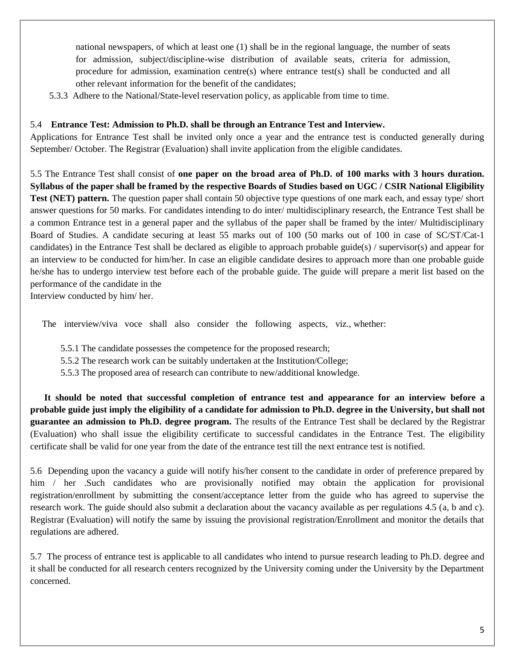national newspapers, of which at least one (1) shall be in the regional language, the number of seats for admission, subject/discipline-wise distribution of available seats, criteria for admission, procedure for admission, examination centre(s) where entrance test(s) shall be conducted and all other relevant information for the benefit of the candidates;

5.3.3 Adhere to the National/State-level reservation policy, as applicable from time to time.

#### 5.4 **Entrance Test: Admission to Ph.D. shall be through an Entrance Test and Interview.**

Applications for Entrance Test shall be invited only once a year and the entrance test is conducted generally during September/ October. The Registrar (Evaluation) shall invite application from the eligible candidates.

5.5 The Entrance Test shall consist of **one paper on the broad area of Ph.D. of 100 marks with 3 hours duration. Syllabus of the paper shall be framed by the respective Boards of Studies based on UGC / CSIR National Eligibility Test (NET) pattern.** The question paper shall contain 50 objective type questions of one mark each, and essay type/ short answer questions for 50 marks. For candidates intending to do inter/ multidisciplinary research, the Entrance Test shall be a common Entrance test in a general paper and the syllabus of the paper shall be framed by the inter/ Multidisciplinary Board of Studies. A candidate securing at least 55 marks out of 100 (50 marks out of 100 in case of SC/ST/Cat-1 candidates) in the Entrance Test shall be declared as eligible to approach probable guide(s) / supervisor(s) and appear for an interview to be conducted for him/her. In case an eligible candidate desires to approach more than one probable guide he/she has to undergo interview test before each of the probable guide. The guide will prepare a merit list based on the performance of the candidate in the

Interview conducted by him/ her.

The interview/viva voce shall also consider the following aspects, viz., whether:

- 5.5.1 The candidate possesses the competence for the proposed research;
- 5.5.2 The research work can be suitably undertaken at the Institution/College;
- 5.5.3 The proposed area of research can contribute to new/additional knowledge.

 **It should be noted that successful completion of entrance test and appearance for an interview before a probable guide just imply the eligibility of a candidate for admission to Ph.D. degree in the University, but shall not guarantee an admission to Ph.D. degree program.** The results of the Entrance Test shall be declared by the Registrar (Evaluation) who shall issue the eligibility certificate to successful candidates in the Entrance Test. The eligibility certificate shall be valid for one year from the date of the entrance test till the next entrance test is notified.

5.6 Depending upon the vacancy a guide will notify his/her consent to the candidate in order of preference prepared by him / her .Such candidates who are provisionally notified may obtain the application for provisional registration/enrollment by submitting the consent/acceptance letter from the guide who has agreed to supervise the research work. The guide should also submit a declaration about the vacancy available as per regulations 4.5 (a, b and c). Registrar (Evaluation) will notify the same by issuing the provisional registration/Enrollment and monitor the details that regulations are adhered.

5.7 The process of entrance test is applicable to all candidates who intend to pursue research leading to Ph.D. degree and it shall be conducted for all research centers recognized by the University coming under the University by the Department concerned.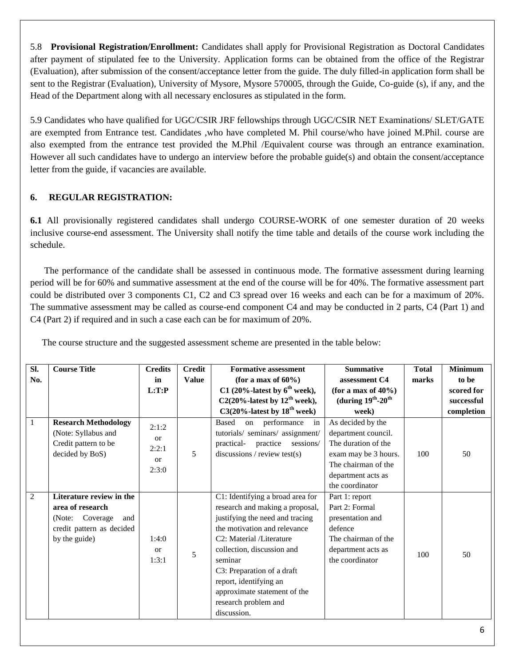5.8 **Provisional Registration/Enrollment:** Candidates shall apply for Provisional Registration as Doctoral Candidates after payment of stipulated fee to the University. Application forms can be obtained from the office of the Registrar (Evaluation), after submission of the consent/acceptance letter from the guide. The duly filled-in application form shall be sent to the Registrar (Evaluation), University of Mysore, Mysore 570005, through the Guide, Co-guide (s), if any, and the Head of the Department along with all necessary enclosures as stipulated in the form.

5.9 Candidates who have qualified for UGC/CSIR JRF fellowships through UGC/CSIR NET Examinations/ SLET/GATE are exempted from Entrance test. Candidates ,who have completed M. Phil course/who have joined M.Phil. course are also exempted from the entrance test provided the M.Phil /Equivalent course was through an entrance examination. However all such candidates have to undergo an interview before the probable guide(s) and obtain the consent/acceptance letter from the guide, if vacancies are available.

### **6. REGULAR REGISTRATION:**

**6.1** All provisionally registered candidates shall undergo COURSE-WORK of one semester duration of 20 weeks inclusive course-end assessment. The University shall notify the time table and details of the course work including the schedule.

 The performance of the candidate shall be assessed in continuous mode. The formative assessment during learning period will be for 60% and summative assessment at the end of the course will be for 40%. The formative assessment part could be distributed over 3 components C1, C2 and C3 spread over 16 weeks and each can be for a maximum of 20%. The summative assessment may be called as course-end component C4 and may be conducted in 2 parts, C4 (Part 1) and C4 (Part 2) if required and in such a case each can be for maximum of 20%.

| SI.          | <b>Course Title</b>         | <b>Credits</b>                                            | <b>Credit</b> | <b>Formative assessment</b>              | <b>Summative</b>                    | <b>Total</b> | <b>Minimum</b> |
|--------------|-----------------------------|-----------------------------------------------------------|---------------|------------------------------------------|-------------------------------------|--------------|----------------|
| No.          |                             | in                                                        | <b>Value</b>  | (for a max of $60\%$ )                   | assessment C4                       | marks        | to be          |
|              |                             | L:T:P                                                     |               | C1 (20%-latest by $6^{\text{th}}$ week), | (for a max of $40\%$ )              |              | scored for     |
|              |                             |                                                           |               | C2(20%-latest by $12^{th}$ week),        | (during $19^{th}$ -20 <sup>th</sup> |              | successful     |
|              |                             |                                                           |               | $C3(20\%$ -latest by $18^{th}$ week)     | week)                               |              | completion     |
| $\mathbf{1}$ | <b>Research Methodology</b> | 2:1:2<br><sub>or</sub><br>2:2:1<br><sub>or</sub><br>2:3:0 | 5             | Based<br>on performance<br>in            | As decided by the                   |              |                |
|              | (Note: Syllabus and         |                                                           |               | tutorials/ seminars/ assignment/         | department council.                 |              |                |
|              | Credit pattern to be        |                                                           |               | sessions/<br>practical- practice         | The duration of the                 |              |                |
|              | decided by BoS)             |                                                           |               | discussions / review test(s)             | exam may be 3 hours.                | 100          | 50             |
|              |                             |                                                           |               |                                          | The chairman of the                 |              |                |
|              |                             |                                                           |               |                                          | department acts as                  |              |                |
|              |                             |                                                           |               |                                          | the coordinator                     |              |                |
| 2            | Literature review in the    |                                                           |               | C1: Identifying a broad area for         | Part 1: report                      |              |                |
|              | area of research            |                                                           |               | research and making a proposal,          | Part 2: Formal                      |              |                |
|              | (Note: Coverage<br>and      |                                                           |               | justifying the need and tracing          | presentation and                    |              |                |
|              | credit pattern as decided   | 1:4:0<br><sub>or</sub><br>1:3:1                           | 5             | the motivation and relevance             | defence                             |              |                |
|              | by the guide)               |                                                           |               | C2: Material /Literature                 | The chairman of the                 |              |                |
|              |                             |                                                           |               | collection, discussion and               | department acts as                  | 100          | 50             |
|              |                             |                                                           |               | seminar                                  | the coordinator                     |              |                |
|              |                             |                                                           |               | C3: Preparation of a draft               |                                     |              |                |
|              |                             |                                                           |               | report, identifying an                   |                                     |              |                |
|              |                             |                                                           |               | approximate statement of the             |                                     |              |                |
|              |                             |                                                           |               | research problem and                     |                                     |              |                |
|              |                             |                                                           |               | discussion.                              |                                     |              |                |

The course structure and the suggested assessment scheme are presented in the table below: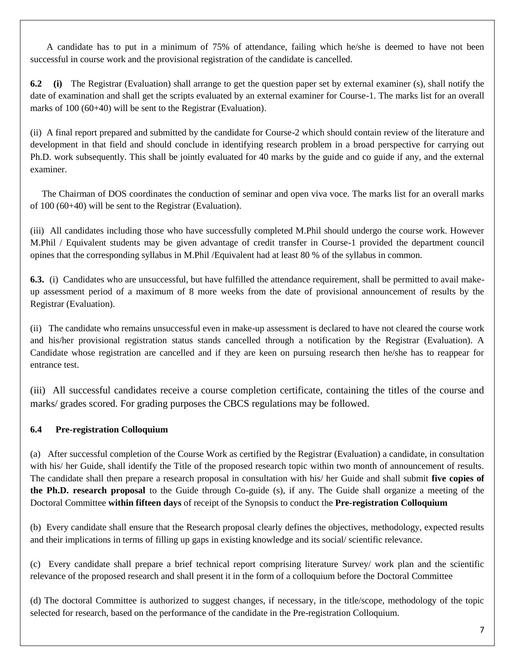A candidate has to put in a minimum of 75% of attendance, failing which he/she is deemed to have not been successful in course work and the provisional registration of the candidate is cancelled.

**6.2 (i)** The Registrar (Evaluation) shall arrange to get the question paper set by external examiner (s), shall notify the date of examination and shall get the scripts evaluated by an external examiner for Course-1. The marks list for an overall marks of 100 (60+40) will be sent to the Registrar (Evaluation).

(ii) A final report prepared and submitted by the candidate for Course-2 which should contain review of the literature and development in that field and should conclude in identifying research problem in a broad perspective for carrying out Ph.D. work subsequently. This shall be jointly evaluated for 40 marks by the guide and co guide if any, and the external examiner.

 The Chairman of DOS coordinates the conduction of seminar and open viva voce. The marks list for an overall marks of 100 (60+40) will be sent to the Registrar (Evaluation).

(iii) All candidates including those who have successfully completed M.Phil should undergo the course work. However M.Phil / Equivalent students may be given advantage of credit transfer in Course-1 provided the department council opines that the corresponding syllabus in M.Phil /Equivalent had at least 80 % of the syllabus in common.

**6.3.** (i) Candidates who are unsuccessful, but have fulfilled the attendance requirement, shall be permitted to avail makeup assessment period of a maximum of 8 more weeks from the date of provisional announcement of results by the Registrar (Evaluation).

(ii) The candidate who remains unsuccessful even in make-up assessment is declared to have not cleared the course work and his/her provisional registration status stands cancelled through a notification by the Registrar (Evaluation). A Candidate whose registration are cancelled and if they are keen on pursuing research then he/she has to reappear for entrance test.

(iii) All successful candidates receive a course completion certificate, containing the titles of the course and marks/ grades scored. For grading purposes the CBCS regulations may be followed.

### **6.4 Pre-registration Colloquium**

(a) After successful completion of the Course Work as certified by the Registrar (Evaluation) a candidate, in consultation with his/ her Guide, shall identify the Title of the proposed research topic within two month of announcement of results. The candidate shall then prepare a research proposal in consultation with his/ her Guide and shall submit **five copies of the Ph.D. research proposal** to the Guide through Co-guide (s), if any. The Guide shall organize a meeting of the Doctoral Committee **within fifteen days** of receipt of the Synopsis to conduct the **Pre-registration Colloquium** 

(b) Every candidate shall ensure that the Research proposal clearly defines the objectives, methodology, expected results and their implications in terms of filling up gaps in existing knowledge and its social/ scientific relevance.

(c) Every candidate shall prepare a brief technical report comprising literature Survey/ work plan and the scientific relevance of the proposed research and shall present it in the form of a colloquium before the Doctoral Committee

(d) The doctoral Committee is authorized to suggest changes, if necessary, in the title/scope, methodology of the topic selected for research, based on the performance of the candidate in the Pre-registration Colloquium.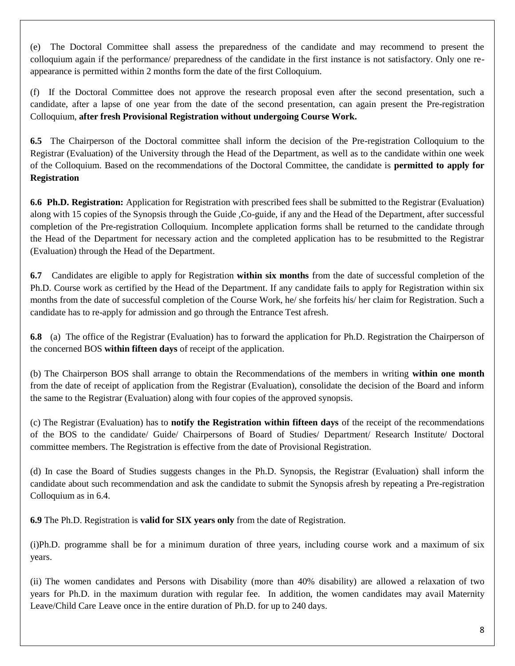(e) The Doctoral Committee shall assess the preparedness of the candidate and may recommend to present the colloquium again if the performance/ preparedness of the candidate in the first instance is not satisfactory. Only one reappearance is permitted within 2 months form the date of the first Colloquium.

(f) If the Doctoral Committee does not approve the research proposal even after the second presentation, such a candidate, after a lapse of one year from the date of the second presentation, can again present the Pre-registration Colloquium, **after fresh Provisional Registration without undergoing Course Work.** 

**6.5** The Chairperson of the Doctoral committee shall inform the decision of the Pre-registration Colloquium to the Registrar (Evaluation) of the University through the Head of the Department, as well as to the candidate within one week of the Colloquium. Based on the recommendations of the Doctoral Committee, the candidate is **permitted to apply for Registration** 

**6.6 Ph.D. Registration:** Application for Registration with prescribed fees shall be submitted to the Registrar (Evaluation) along with 15 copies of the Synopsis through the Guide ,Co-guide, if any and the Head of the Department, after successful completion of the Pre-registration Colloquium. Incomplete application forms shall be returned to the candidate through the Head of the Department for necessary action and the completed application has to be resubmitted to the Registrar (Evaluation) through the Head of the Department.

**6.7** Candidates are eligible to apply for Registration **within six months** from the date of successful completion of the Ph.D. Course work as certified by the Head of the Department. If any candidate fails to apply for Registration within six months from the date of successful completion of the Course Work, he/ she forfeits his/ her claim for Registration. Such a candidate has to re-apply for admission and go through the Entrance Test afresh.

**6.8** (a) The office of the Registrar (Evaluation) has to forward the application for Ph.D. Registration the Chairperson of the concerned BOS **within fifteen days** of receipt of the application.

(b) The Chairperson BOS shall arrange to obtain the Recommendations of the members in writing **within one month**  from the date of receipt of application from the Registrar (Evaluation), consolidate the decision of the Board and inform the same to the Registrar (Evaluation) along with four copies of the approved synopsis.

(c) The Registrar (Evaluation) has to **notify the Registration within fifteen days** of the receipt of the recommendations of the BOS to the candidate/ Guide/ Chairpersons of Board of Studies/ Department/ Research Institute/ Doctoral committee members. The Registration is effective from the date of Provisional Registration.

(d) In case the Board of Studies suggests changes in the Ph.D. Synopsis, the Registrar (Evaluation) shall inform the candidate about such recommendation and ask the candidate to submit the Synopsis afresh by repeating a Pre-registration Colloquium as in 6.4.

**6.9** The Ph.D. Registration is **valid for SIX years only** from the date of Registration.

(i)Ph.D. programme shall be for a minimum duration of three years, including course work and a maximum of six years.

(ii) The women candidates and Persons with Disability (more than 40% disability) are allowed a relaxation of two years for Ph.D. in the maximum duration with regular fee. In addition, the women candidates may avail Maternity Leave/Child Care Leave once in the entire duration of Ph.D. for up to 240 days.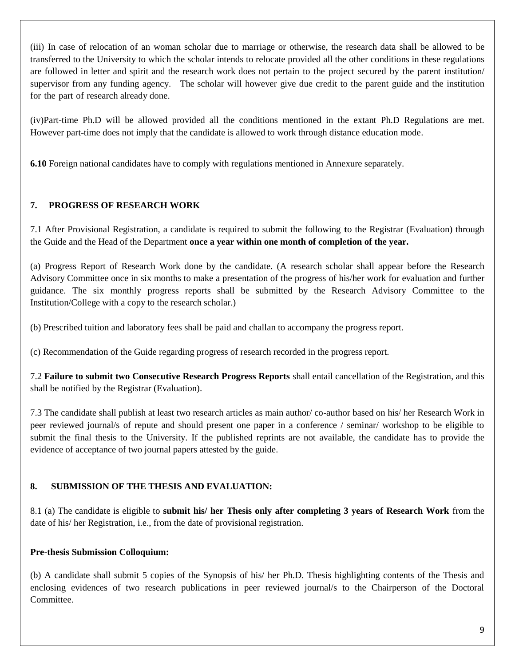(iii) In case of relocation of an woman scholar due to marriage or otherwise, the research data shall be allowed to be transferred to the University to which the scholar intends to relocate provided all the other conditions in these regulations are followed in letter and spirit and the research work does not pertain to the project secured by the parent institution/ supervisor from any funding agency. The scholar will however give due credit to the parent guide and the institution for the part of research already done.

(iv)Part-time Ph.D will be allowed provided all the conditions mentioned in the extant Ph.D Regulations are met. However part-time does not imply that the candidate is allowed to work through distance education mode.

**6.10** Foreign national candidates have to comply with regulations mentioned in Annexure separately.

### **7. PROGRESS OF RESEARCH WORK**

7.1 After Provisional Registration, a candidate is required to submit the following **t**o the Registrar (Evaluation) through the Guide and the Head of the Department **once a year within one month of completion of the year.**

(a) Progress Report of Research Work done by the candidate. (A research scholar shall appear before the Research Advisory Committee once in six months to make a presentation of the progress of his/her work for evaluation and further guidance. The six monthly progress reports shall be submitted by the Research Advisory Committee to the Institution/College with a copy to the research scholar.)

(b) Prescribed tuition and laboratory fees shall be paid and challan to accompany the progress report.

(c) Recommendation of the Guide regarding progress of research recorded in the progress report.

7.2 **Failure to submit two Consecutive Research Progress Reports** shall entail cancellation of the Registration, and this shall be notified by the Registrar (Evaluation).

7.3 The candidate shall publish at least two research articles as main author/ co-author based on his/ her Research Work in peer reviewed journal/s of repute and should present one paper in a conference / seminar/ workshop to be eligible to submit the final thesis to the University. If the published reprints are not available, the candidate has to provide the evidence of acceptance of two journal papers attested by the guide.

### **8. SUBMISSION OF THE THESIS AND EVALUATION:**

8.1 (a) The candidate is eligible to **submit his/ her Thesis only after completing 3 years of Research Work** from the date of his/ her Registration, i.e., from the date of provisional registration.

### **Pre-thesis Submission Colloquium:**

(b) A candidate shall submit 5 copies of the Synopsis of his/ her Ph.D. Thesis highlighting contents of the Thesis and enclosing evidences of two research publications in peer reviewed journal/s to the Chairperson of the Doctoral Committee.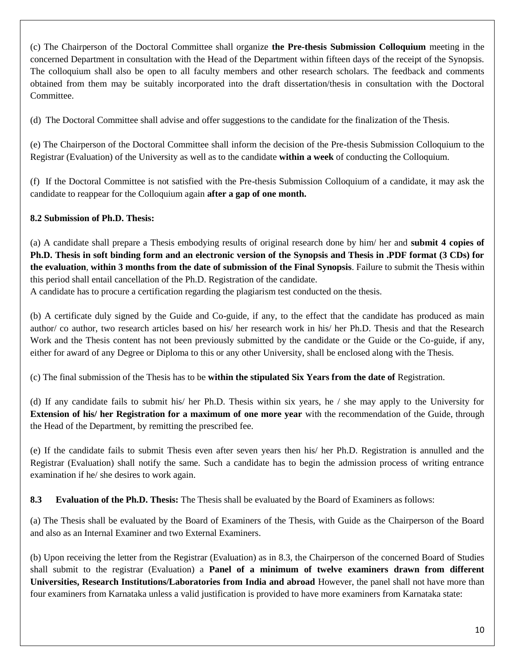(c) The Chairperson of the Doctoral Committee shall organize **the Pre-thesis Submission Colloquium** meeting in the concerned Department in consultation with the Head of the Department within fifteen days of the receipt of the Synopsis. The colloquium shall also be open to all faculty members and other research scholars. The feedback and comments obtained from them may be suitably incorporated into the draft dissertation/thesis in consultation with the Doctoral Committee.

(d) The Doctoral Committee shall advise and offer suggestions to the candidate for the finalization of the Thesis.

(e) The Chairperson of the Doctoral Committee shall inform the decision of the Pre-thesis Submission Colloquium to the Registrar (Evaluation) of the University as well as to the candidate **within a week** of conducting the Colloquium.

(f) If the Doctoral Committee is not satisfied with the Pre-thesis Submission Colloquium of a candidate, it may ask the candidate to reappear for the Colloquium again **after a gap of one month.** 

### **8.2 Submission of Ph.D. Thesis:**

(a) A candidate shall prepare a Thesis embodying results of original research done by him/ her and **submit 4 copies of Ph.D. Thesis in soft binding form and an electronic version of the Synopsis and Thesis in .PDF format (3 CDs) for the evaluation**, **within 3 months from the date of submission of the Final Synopsis**. Failure to submit the Thesis within this period shall entail cancellation of the Ph.D. Registration of the candidate.

A candidate has to procure a certification regarding the plagiarism test conducted on the thesis.

(b) A certificate duly signed by the Guide and Co-guide, if any, to the effect that the candidate has produced as main author/ co author, two research articles based on his/ her research work in his/ her Ph.D. Thesis and that the Research Work and the Thesis content has not been previously submitted by the candidate or the Guide or the Co-guide, if any, either for award of any Degree or Diploma to this or any other University, shall be enclosed along with the Thesis.

(c) The final submission of the Thesis has to be **within the stipulated Six Years from the date of** Registration.

(d) If any candidate fails to submit his/ her Ph.D. Thesis within six years, he / she may apply to the University for **Extension of his/ her Registration for a maximum of one more year** with the recommendation of the Guide, through the Head of the Department, by remitting the prescribed fee.

(e) If the candidate fails to submit Thesis even after seven years then his/ her Ph.D. Registration is annulled and the Registrar (Evaluation) shall notify the same. Such a candidate has to begin the admission process of writing entrance examination if he/ she desires to work again.

**8.3 Evaluation of the Ph.D. Thesis:** The Thesis shall be evaluated by the Board of Examiners as follows:

(a) The Thesis shall be evaluated by the Board of Examiners of the Thesis, with Guide as the Chairperson of the Board and also as an Internal Examiner and two External Examiners.

(b) Upon receiving the letter from the Registrar (Evaluation) as in 8.3, the Chairperson of the concerned Board of Studies shall submit to the registrar (Evaluation) a **Panel of a minimum of twelve examiners drawn from different Universities, Research Institutions/Laboratories from India and abroad** However, the panel shall not have more than four examiners from Karnataka unless a valid justification is provided to have more examiners from Karnataka state: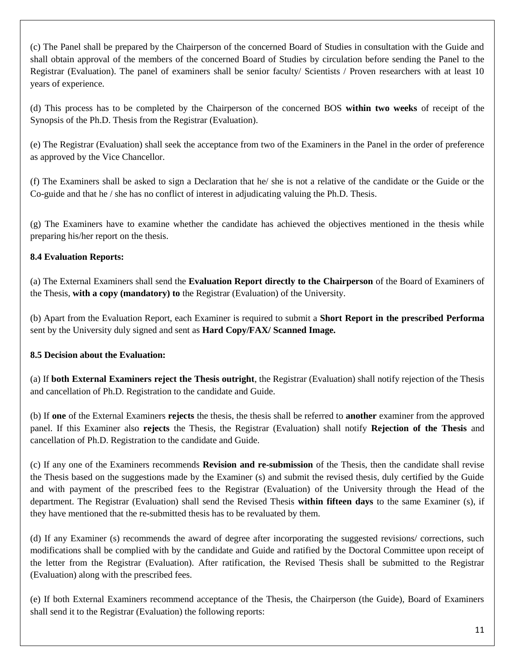(c) The Panel shall be prepared by the Chairperson of the concerned Board of Studies in consultation with the Guide and shall obtain approval of the members of the concerned Board of Studies by circulation before sending the Panel to the Registrar (Evaluation). The panel of examiners shall be senior faculty/ Scientists / Proven researchers with at least 10 years of experience.

(d) This process has to be completed by the Chairperson of the concerned BOS **within two weeks** of receipt of the Synopsis of the Ph.D. Thesis from the Registrar (Evaluation).

(e) The Registrar (Evaluation) shall seek the acceptance from two of the Examiners in the Panel in the order of preference as approved by the Vice Chancellor.

(f) The Examiners shall be asked to sign a Declaration that he/ she is not a relative of the candidate or the Guide or the Co-guide and that he / she has no conflict of interest in adjudicating valuing the Ph.D. Thesis.

(g) The Examiners have to examine whether the candidate has achieved the objectives mentioned in the thesis while preparing his/her report on the thesis.

### **8.4 Evaluation Reports:**

(a) The External Examiners shall send the **Evaluation Report directly to the Chairperson** of the Board of Examiners of the Thesis, **with a copy (mandatory) to** the Registrar (Evaluation) of the University.

(b) Apart from the Evaluation Report, each Examiner is required to submit a **Short Report in the prescribed Performa**  sent by the University duly signed and sent as **Hard Copy/FAX/ Scanned Image.** 

### **8.5 Decision about the Evaluation:**

(a) If **both External Examiners reject the Thesis outright**, the Registrar (Evaluation) shall notify rejection of the Thesis and cancellation of Ph.D. Registration to the candidate and Guide.

(b) If **one** of the External Examiners **rejects** the thesis, the thesis shall be referred to **another** examiner from the approved panel. If this Examiner also **rejects** the Thesis, the Registrar (Evaluation) shall notify **Rejection of the Thesis** and cancellation of Ph.D. Registration to the candidate and Guide.

(c) If any one of the Examiners recommends **Revision and re-submission** of the Thesis, then the candidate shall revise the Thesis based on the suggestions made by the Examiner (s) and submit the revised thesis, duly certified by the Guide and with payment of the prescribed fees to the Registrar (Evaluation) of the University through the Head of the department. The Registrar (Evaluation) shall send the Revised Thesis **within fifteen days** to the same Examiner (s), if they have mentioned that the re-submitted thesis has to be revaluated by them.

(d) If any Examiner (s) recommends the award of degree after incorporating the suggested revisions/ corrections, such modifications shall be complied with by the candidate and Guide and ratified by the Doctoral Committee upon receipt of the letter from the Registrar (Evaluation). After ratification, the Revised Thesis shall be submitted to the Registrar (Evaluation) along with the prescribed fees.

(e) If both External Examiners recommend acceptance of the Thesis, the Chairperson (the Guide), Board of Examiners shall send it to the Registrar (Evaluation) the following reports: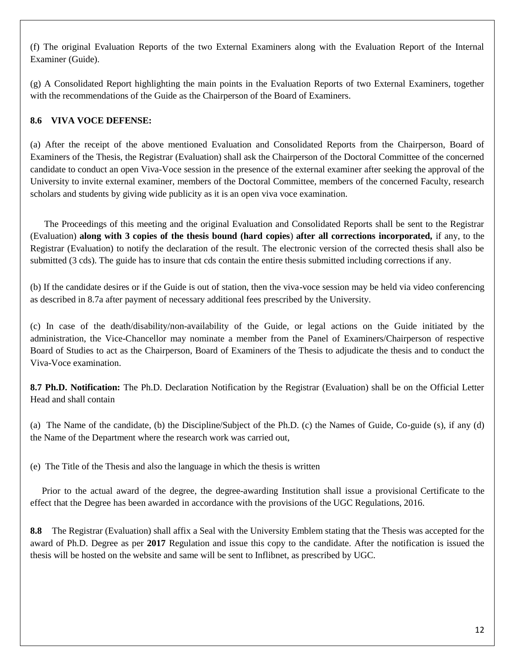(f) The original Evaluation Reports of the two External Examiners along with the Evaluation Report of the Internal Examiner (Guide).

(g) A Consolidated Report highlighting the main points in the Evaluation Reports of two External Examiners, together with the recommendations of the Guide as the Chairperson of the Board of Examiners.

### **8.6 VIVA VOCE DEFENSE:**

(a) After the receipt of the above mentioned Evaluation and Consolidated Reports from the Chairperson, Board of Examiners of the Thesis, the Registrar (Evaluation) shall ask the Chairperson of the Doctoral Committee of the concerned candidate to conduct an open Viva-Voce session in the presence of the external examiner after seeking the approval of the University to invite external examiner, members of the Doctoral Committee, members of the concerned Faculty, research scholars and students by giving wide publicity as it is an open viva voce examination.

 The Proceedings of this meeting and the original Evaluation and Consolidated Reports shall be sent to the Registrar (Evaluation) **along with 3 copies of the thesis bound (hard copies**) **after all corrections incorporated,** if any, to the Registrar (Evaluation) to notify the declaration of the result. The electronic version of the corrected thesis shall also be submitted (3 cds). The guide has to insure that cds contain the entire thesis submitted including corrections if any.

(b) If the candidate desires or if the Guide is out of station, then the viva-voce session may be held via video conferencing as described in 8.7a after payment of necessary additional fees prescribed by the University.

(c) In case of the death/disability/non-availability of the Guide, or legal actions on the Guide initiated by the administration, the Vice-Chancellor may nominate a member from the Panel of Examiners/Chairperson of respective Board of Studies to act as the Chairperson, Board of Examiners of the Thesis to adjudicate the thesis and to conduct the Viva-Voce examination.

**8.7 Ph.D. Notification:** The Ph.D. Declaration Notification by the Registrar (Evaluation) shall be on the Official Letter Head and shall contain

(a) The Name of the candidate, (b) the Discipline/Subject of the Ph.D. (c) the Names of Guide, Co-guide (s), if any (d) the Name of the Department where the research work was carried out,

(e) The Title of the Thesis and also the language in which the thesis is written

 Prior to the actual award of the degree, the degree-awarding Institution shall issue a provisional Certificate to the effect that the Degree has been awarded in accordance with the provisions of the UGC Regulations, 2016.

**8.8** The Registrar (Evaluation) shall affix a Seal with the University Emblem stating that the Thesis was accepted for the award of Ph.D. Degree as per **2017** Regulation and issue this copy to the candidate. After the notification is issued the thesis will be hosted on the website and same will be sent to Inflibnet, as prescribed by UGC.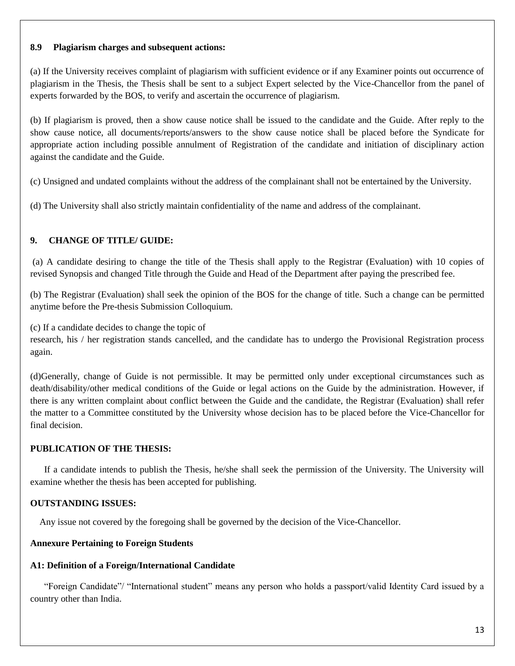#### **8.9 Plagiarism charges and subsequent actions:**

(a) If the University receives complaint of plagiarism with sufficient evidence or if any Examiner points out occurrence of plagiarism in the Thesis, the Thesis shall be sent to a subject Expert selected by the Vice-Chancellor from the panel of experts forwarded by the BOS, to verify and ascertain the occurrence of plagiarism.

(b) If plagiarism is proved, then a show cause notice shall be issued to the candidate and the Guide. After reply to the show cause notice, all documents/reports/answers to the show cause notice shall be placed before the Syndicate for appropriate action including possible annulment of Registration of the candidate and initiation of disciplinary action against the candidate and the Guide.

(c) Unsigned and undated complaints without the address of the complainant shall not be entertained by the University.

(d) The University shall also strictly maintain confidentiality of the name and address of the complainant.

### **9. CHANGE OF TITLE/ GUIDE:**

(a) A candidate desiring to change the title of the Thesis shall apply to the Registrar (Evaluation) with 10 copies of revised Synopsis and changed Title through the Guide and Head of the Department after paying the prescribed fee.

(b) The Registrar (Evaluation) shall seek the opinion of the BOS for the change of title. Such a change can be permitted anytime before the Pre-thesis Submission Colloquium.

(c) If a candidate decides to change the topic of

research, his / her registration stands cancelled, and the candidate has to undergo the Provisional Registration process again.

(d)Generally, change of Guide is not permissible. It may be permitted only under exceptional circumstances such as death/disability/other medical conditions of the Guide or legal actions on the Guide by the administration. However, if there is any written complaint about conflict between the Guide and the candidate, the Registrar (Evaluation) shall refer the matter to a Committee constituted by the University whose decision has to be placed before the Vice-Chancellor for final decision.

### **PUBLICATION OF THE THESIS:**

 If a candidate intends to publish the Thesis, he/she shall seek the permission of the University. The University will examine whether the thesis has been accepted for publishing.

#### **OUTSTANDING ISSUES:**

Any issue not covered by the foregoing shall be governed by the decision of the Vice-Chancellor.

#### **Annexure Pertaining to Foreign Students**

#### **A1: Definition of a Foreign/International Candidate**

 "Foreign Candidate"/ "International student" means any person who holds a passport/valid Identity Card issued by a country other than India.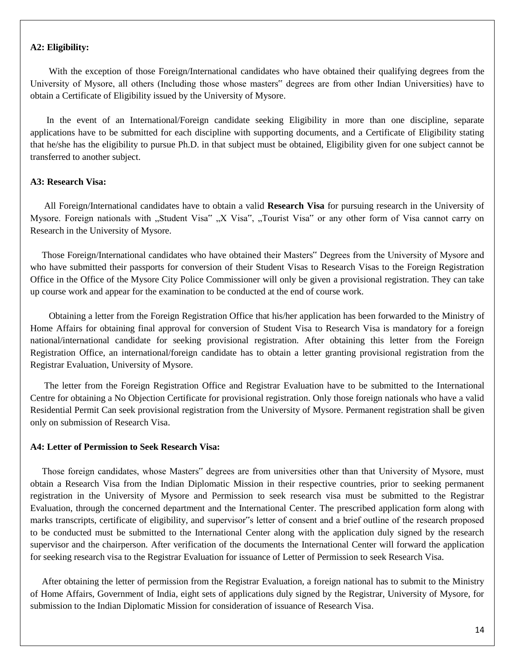#### **A2: Eligibility:**

With the exception of those Foreign/International candidates who have obtained their qualifying degrees from the University of Mysore, all others (Including those whose masters" degrees are from other Indian Universities) have to obtain a Certificate of Eligibility issued by the University of Mysore.

 In the event of an International/Foreign candidate seeking Eligibility in more than one discipline, separate applications have to be submitted for each discipline with supporting documents, and a Certificate of Eligibility stating that he/she has the eligibility to pursue Ph.D. in that subject must be obtained, Eligibility given for one subject cannot be transferred to another subject.

#### **A3: Research Visa:**

 All Foreign/International candidates have to obtain a valid **Research Visa** for pursuing research in the University of Mysore. Foreign nationals with "Student Visa" "X Visa", "Tourist Visa" or any other form of Visa cannot carry on Research in the University of Mysore.

 Those Foreign/International candidates who have obtained their Masters" Degrees from the University of Mysore and who have submitted their passports for conversion of their Student Visas to Research Visas to the Foreign Registration Office in the Office of the Mysore City Police Commissioner will only be given a provisional registration. They can take up course work and appear for the examination to be conducted at the end of course work.

 Obtaining a letter from the Foreign Registration Office that his/her application has been forwarded to the Ministry of Home Affairs for obtaining final approval for conversion of Student Visa to Research Visa is mandatory for a foreign national/international candidate for seeking provisional registration. After obtaining this letter from the Foreign Registration Office, an international/foreign candidate has to obtain a letter granting provisional registration from the Registrar Evaluation, University of Mysore.

 The letter from the Foreign Registration Office and Registrar Evaluation have to be submitted to the International Centre for obtaining a No Objection Certificate for provisional registration. Only those foreign nationals who have a valid Residential Permit Can seek provisional registration from the University of Mysore. Permanent registration shall be given only on submission of Research Visa.

#### **A4: Letter of Permission to Seek Research Visa:**

 Those foreign candidates, whose Masters" degrees are from universities other than that University of Mysore, must obtain a Research Visa from the Indian Diplomatic Mission in their respective countries, prior to seeking permanent registration in the University of Mysore and Permission to seek research visa must be submitted to the Registrar Evaluation, through the concerned department and the International Center. The prescribed application form along with marks transcripts, certificate of eligibility, and supervisor"s letter of consent and a brief outline of the research proposed to be conducted must be submitted to the International Center along with the application duly signed by the research supervisor and the chairperson. After verification of the documents the International Center will forward the application for seeking research visa to the Registrar Evaluation for issuance of Letter of Permission to seek Research Visa.

 After obtaining the letter of permission from the Registrar Evaluation, a foreign national has to submit to the Ministry of Home Affairs, Government of India, eight sets of applications duly signed by the Registrar, University of Mysore, for submission to the Indian Diplomatic Mission for consideration of issuance of Research Visa.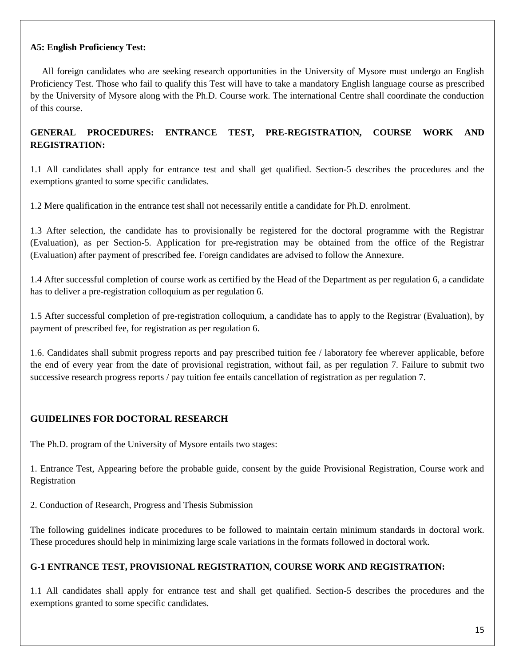#### **A5: English Proficiency Test:**

 All foreign candidates who are seeking research opportunities in the University of Mysore must undergo an English Proficiency Test. Those who fail to qualify this Test will have to take a mandatory English language course as prescribed by the University of Mysore along with the Ph.D. Course work. The international Centre shall coordinate the conduction of this course.

### **GENERAL PROCEDURES: ENTRANCE TEST, PRE-REGISTRATION, COURSE WORK AND REGISTRATION:**

1.1 All candidates shall apply for entrance test and shall get qualified. Section-5 describes the procedures and the exemptions granted to some specific candidates.

1.2 Mere qualification in the entrance test shall not necessarily entitle a candidate for Ph.D. enrolment.

1.3 After selection, the candidate has to provisionally be registered for the doctoral programme with the Registrar (Evaluation), as per Section-5. Application for pre-registration may be obtained from the office of the Registrar (Evaluation) after payment of prescribed fee. Foreign candidates are advised to follow the Annexure.

1.4 After successful completion of course work as certified by the Head of the Department as per regulation 6, a candidate has to deliver a pre-registration colloquium as per regulation 6.

1.5 After successful completion of pre-registration colloquium, a candidate has to apply to the Registrar (Evaluation), by payment of prescribed fee, for registration as per regulation 6.

1.6. Candidates shall submit progress reports and pay prescribed tuition fee / laboratory fee wherever applicable, before the end of every year from the date of provisional registration, without fail, as per regulation 7. Failure to submit two successive research progress reports / pay tuition fee entails cancellation of registration as per regulation 7.

### **GUIDELINES FOR DOCTORAL RESEARCH**

The Ph.D. program of the University of Mysore entails two stages:

1. Entrance Test, Appearing before the probable guide, consent by the guide Provisional Registration, Course work and Registration

2. Conduction of Research, Progress and Thesis Submission

The following guidelines indicate procedures to be followed to maintain certain minimum standards in doctoral work. These procedures should help in minimizing large scale variations in the formats followed in doctoral work.

#### **G-1 ENTRANCE TEST, PROVISIONAL REGISTRATION, COURSE WORK AND REGISTRATION:**

1.1 All candidates shall apply for entrance test and shall get qualified. Section-5 describes the procedures and the exemptions granted to some specific candidates.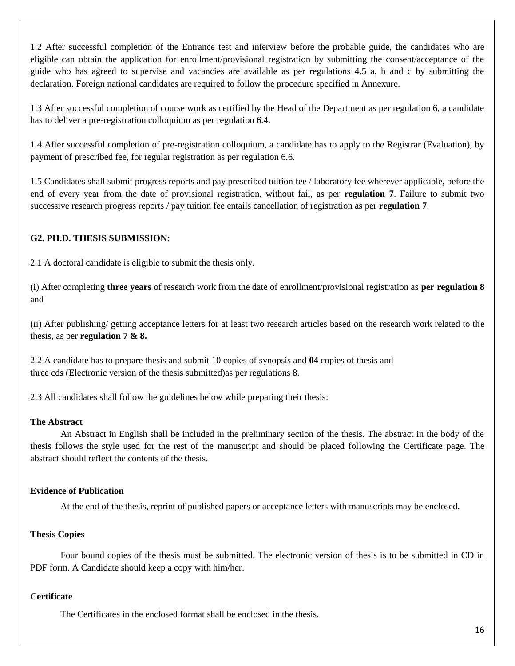1.2 After successful completion of the Entrance test and interview before the probable guide, the candidates who are eligible can obtain the application for enrollment/provisional registration by submitting the consent/acceptance of the guide who has agreed to supervise and vacancies are available as per regulations 4.5 a, b and c by submitting the declaration. Foreign national candidates are required to follow the procedure specified in Annexure.

1.3 After successful completion of course work as certified by the Head of the Department as per regulation 6, a candidate has to deliver a pre-registration colloquium as per regulation 6.4.

1.4 After successful completion of pre-registration colloquium, a candidate has to apply to the Registrar (Evaluation), by payment of prescribed fee, for regular registration as per regulation 6.6.

1.5 Candidates shall submit progress reports and pay prescribed tuition fee / laboratory fee wherever applicable, before the end of every year from the date of provisional registration, without fail, as per **regulation 7**. Failure to submit two successive research progress reports / pay tuition fee entails cancellation of registration as per **regulation 7**.

### **G2. PH.D. THESIS SUBMISSION:**

2.1 A doctoral candidate is eligible to submit the thesis only.

(i) After completing **three years** of research work from the date of enrollment/provisional registration as **per regulation 8**  and

(ii) After publishing/ getting acceptance letters for at least two research articles based on the research work related to the thesis, as per **regulation 7 & 8.** 

2.2 A candidate has to prepare thesis and submit 10 copies of synopsis and **04** copies of thesis and three cds (Electronic version of the thesis submitted)as per regulations 8.

2.3 All candidates shall follow the guidelines below while preparing their thesis:

#### **The Abstract**

An Abstract in English shall be included in the preliminary section of the thesis. The abstract in the body of the thesis follows the style used for the rest of the manuscript and should be placed following the Certificate page. The abstract should reflect the contents of the thesis.

#### **Evidence of Publication**

At the end of the thesis, reprint of published papers or acceptance letters with manuscripts may be enclosed.

#### **Thesis Copies**

Four bound copies of the thesis must be submitted. The electronic version of thesis is to be submitted in CD in PDF form. A Candidate should keep a copy with him/her.

#### **Certificate**

The Certificates in the enclosed format shall be enclosed in the thesis.